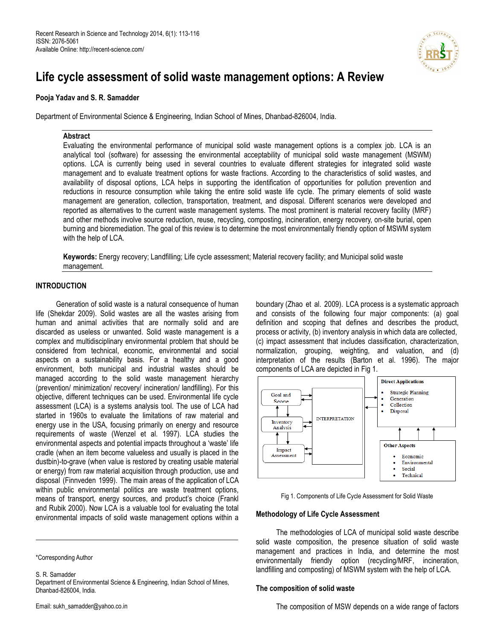

# Life cycle assessment of solid waste management options: A Review

## Pooja Yadav and S. R. Samadder

Department of Environmental Science & Engineering, Indian School of Mines, Dhanbad-826004, India.

## Abstract

Evaluating the environmental performance of municipal solid waste management options is a complex job. LCA is an analytical tool (software) for assessing the environmental acceptability of municipal solid waste management (MSWM) options. LCA is currently being used in several countries to evaluate different strategies for integrated solid waste management and to evaluate treatment options for waste fractions. According to the characteristics of solid wastes, and availability of disposal options, LCA helps in supporting the identification of opportunities for pollution prevention and reductions in resource consumption while taking the entire solid waste life cycle. The primary elements of solid waste management are generation, collection, transportation, treatment, and disposal. Different scenarios were developed and reported as alternatives to the current waste management systems. The most prominent is material recovery facility (MRF) and other methods involve source reduction, reuse, recycling, composting, incineration, energy recovery, on-site burial, open burning and bioremediation. The goal of this review is to determine the most environmentally friendly option of MSWM system with the help of LCA.

Keywords: Energy recovery; Landfilling; Life cycle assessment; Material recovery facility; and Municipal solid waste management.

# INTRODUCTION

 Generation of solid waste is a natural consequence of human life (Shekdar 2009). Solid wastes are all the wastes arising from human and animal activities that are normally solid and are discarded as useless or unwanted. Solid waste management is a complex and multidisciplinary environmental problem that should be considered from technical, economic, environmental and social aspects on a sustainability basis. For a healthy and a good environment, both municipal and industrial wastes should be managed according to the solid waste management hierarchy (prevention/ minimization/ recovery/ incineration/ landfilling). For this objective, different techniques can be used. Environmental life cycle assessment (LCA) is a systems analysis tool. The use of LCA had started in 1960s to evaluate the limitations of raw material and energy use in the USA, focusing primarily on energy and resource requirements of waste (Wenzel et al. 1997). LCA studies the environmental aspects and potential impacts throughout a 'waste' life cradle (when an item become valueless and usually is placed in the dustbin)-to-grave (when value is restored by creating usable material or energy) from raw material acquisition through production, use and disposal (Finnveden 1999). The main areas of the application of LCA within public environmental politics are waste treatment options, means of transport, energy sources, and product's choice (Frankl and Rubik 2000). Now LCA is a valuable tool for evaluating the total environmental impacts of solid waste management options within a

S. R. Samadder

boundary (Zhao et al. 2009). LCA process is a systematic approach and consists of the following four major components: (a) goal definition and scoping that defines and describes the product, process or activity, (b) inventory analysis in which data are collected, (c) impact assessment that includes classification, characterization, normalization, grouping, weighting, and valuation, and (d) interpretation of the results (Barton et al. 1996). The major components of LCA are depicted in Fig 1.





#### Methodology of Life Cycle Assessment

 The methodologies of LCA of municipal solid waste describe solid waste composition, the presence situation of solid waste management and practices in India, and determine the most environmentally friendly option (recycling/MRF, incineration, landfilling and composting) of MSWM system with the help of LCA.

#### The composition of solid waste

<sup>\*</sup>Corresponding Author

Department of Environmental Science & Engineering, Indian School of Mines, Dhanbad-826004, India.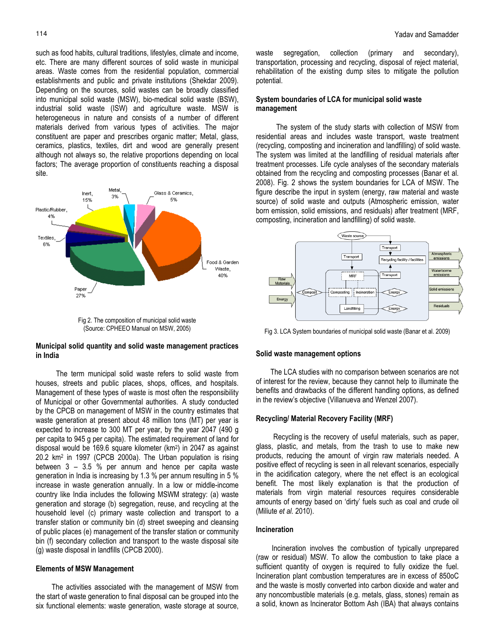site.

such as food habits, cultural traditions, lifestyles, climate and income, etc. There are many different sources of solid waste in municipal areas. Waste comes from the residential population, commercial establishments and public and private institutions (Shekdar 2009). Depending on the sources, solid wastes can be broadly classified into municipal solid waste (MSW), bio-medical solid waste (BSW), industrial solid waste (ISW) and agriculture waste. MSW is heterogeneous in nature and consists of a number of different materials derived from various types of activities. The major constituent are paper and prescribes organic matter; Metal, glass, ceramics, plastics, textiles, dirt and wood are generally present although not always so, the relative proportions depending on local factors; The average proportion of constituents reaching a disposal



(Source: CPHEEO Manual on MSW, 2005)

## Municipal solid quantity and solid waste management practices in India

 The term municipal solid waste refers to solid waste from houses, streets and public places, shops, offices, and hospitals. Management of these types of waste is most often the responsibility of Municipal or other Governmental authorities. A study conducted by the CPCB on management of MSW in the country estimates that waste generation at present about 48 million tons (MT) per year is expected to increase to 300 MT per year, by the year 2047 (490 g per capita to 945 g per capita). The estimated requirement of land for disposal would be 169.6 square kilometer (km<sup>2</sup> ) in 2047 as against 20.2 km<sup>2</sup> in 1997 (CPCB 2000a). The Urban population is rising between 3 – 3.5 % per annum and hence per capita waste generation in India is increasing by 1.3 % per annum resulting in 5 % increase in waste generation annually. In a low or middle-income country like India includes the following MSWM strategy: (a) waste generation and storage (b) segregation, reuse, and recycling at the household level (c) primary waste collection and transport to a transfer station or community bin (d) street sweeping and cleansing of public places (e) management of the transfer station or community bin (f) secondary collection and transport to the waste disposal site (g) waste disposal in landfills (CPCB 2000).

# Elements of MSW Management

 The activities associated with the management of MSW from the start of waste generation to final disposal can be grouped into the six functional elements: waste generation, waste storage at source, waste segregation, collection (primary and secondary), transportation, processing and recycling, disposal of reject material, rehabilitation of the existing dump sites to mitigate the pollution potential.

## System boundaries of LCA for municipal solid waste management

 The system of the study starts with collection of MSW from residential areas and includes waste transport, waste treatment (recycling, composting and incineration and landfilling) of solid waste. The system was limited at the landfilling of residual materials after treatment processes. Life cycle analyses of the secondary materials obtained from the recycling and composting processes (Banar et al. 2008). Fig. 2 shows the system boundaries for LCA of MSW. The figure describe the input in system (energy, raw material and waste source) of solid waste and outputs (Atmospheric emission, water born emission, solid emissions, and residuals) after treatment (MRF, composting, incineration and landfilling) of solid waste.



Fig 3. LCA System boundaries of municipal solid waste (Banar et al. 2009)

#### Solid waste management options

 The LCA studies with no comparison between scenarios are not of interest for the review, because they cannot help to illuminate the benefits and drawbacks of the different handling options, as defined in the review's objective (Villanueva and Wenzel 2007).

# Recycling/ Material Recovery Facility (MRF)

 Recycling is the recovery of useful materials, such as paper, glass, plastic, and metals, from the trash to use to make new products, reducing the amount of virgin raw materials needed. A positive effect of recycling is seen in all relevant scenarios, especially in the acidification category, where the net effect is an ecological benefit. The most likely explanation is that the production of materials from virgin material resources requires considerable amounts of energy based on 'dirty' fuels such as coal and crude oil (Miliute et al. 2010).

# Incineration

 Incineration involves the combustion of typically unprepared (raw or residual) MSW. To allow the combustion to take place a sufficient quantity of oxygen is required to fully oxidize the fuel. Incineration plant combustion temperatures are in excess of 850oC and the waste is mostly converted into carbon dioxide and water and any noncombustible materials (e.g. metals, glass, stones) remain as a solid, known as Incinerator Bottom Ash (IBA) that always contains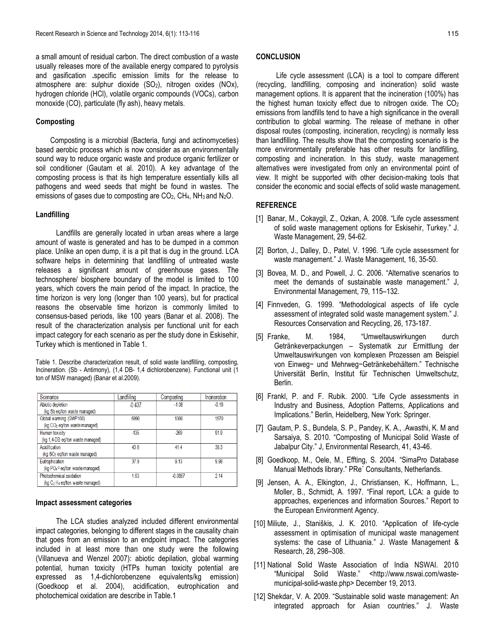a small amount of residual carbon. The direct combustion of a waste usually releases more of the available energy compared to pyrolysis and gasification .specific emission limits for the release to atmosphere are: sulphur dioxide (SO2), nitrogen oxides (NOx), hydrogen chloride (HCl), volatile organic compounds (VOCs), carbon monoxide (CO), particulate (fly ash), heavy metals.

#### Composting

 Composting is a microbial (Bacteria, fungi and actinomyceties) based aerobic process which is now consider as an environmentally sound way to reduce organic waste and produce organic fertilizer or soil conditioner (Gautam et al. 2010). A key advantage of the composting process is that its high temperature essentially kills all pathogens and weed seeds that might be found in wastes. The emissions of gases due to composting are CO<sub>2</sub>, CH<sub>4</sub>, NH<sub>3</sub> and N<sub>2</sub>O.

#### Landfilling

 Landfills are generally located in urban areas where a large amount of waste is generated and has to be dumped in a common place. Unlike an open dump, it is a pit that is dug in the ground. LCA software helps in determining that landfilling of untreated waste releases a significant amount of greenhouse gases. The technosphere/ biosphere boundary of the model is limited to 100 years, which covers the main period of the impact. In practice, the time horizon is very long (longer than 100 years), but for practical reasons the observable time horizon is commonly limited to consensus-based periods, like 100 years (Banar et al. 2008). The result of the characterization analysis per functional unit for each impact category for each scenario as per the study done in Eskisehir, Turkey which is mentioned in Table 1.

Table 1. Describe characterization result, of solid waste landfilling, composting, Incineration. (Sb - Antimony), (1,4 DB- 1,4 dichlorobenzene). Functional unit (1 ton of MSW managed) (Banar et al.2009).

| Scenarios                                    | Landfilling | Composting      | Incineration |
|----------------------------------------------|-------------|-----------------|--------------|
| Abiotic depletion                            | $-0.437$    | $-1.08$         | $-0.16$      |
| (kg Sb eq/ton waste managed)                 |             |                 |              |
| Global warming (GWP100)                      | 6990        | 1360            | 1570         |
| (kg CO <sub>2</sub> eq/ton waste managed)    |             |                 |              |
| <b>Human toxicity</b>                        | $-135$      | $-269$          | 91.9         |
| (kg 1,4-DB eq/ton waste managed)             |             |                 |              |
| Acidification                                | 43.6        | 41.4            | 38.3         |
| (kg SO <sub>2</sub> eq/ton waste managed)    |             |                 |              |
| Eutrophication                               | 379         | 9 <sub>13</sub> | 9.98         |
| (kg PO <sub>4</sub> -3 eq/ton waste managed) |             |                 |              |
| Photochemical oxidation                      | 163         | $-0.0857$       | 2.14         |
| $(kg C2 H4$ eg/ton waste managed)            |             |                 |              |

#### Impact assessment categories

 The LCA studies analyzed included different environmental impact categories, belonging to different stages in the causality chain that goes from an emission to an endpoint impact. The categories included in at least more than one study were the following (Villanueva and Wenzel 2007): abiotic depilation, global warming potential, human toxicity (HTPs human toxicity potential are expressed as 1,4-dichlorobenzene equivalents/kg emission) (Goedkoop et al. 2004), acidification, eutrophication and photochemical oxidation are describe in Table.1

 Life cycle assessment (LCA) is a tool to compare different (recycling, landfilling, composing and incineration) solid waste management options. It is apparent that the incineration (100%) has the highest human toxicity effect due to nitrogen oxide. The  $CO<sub>2</sub>$ emissions from landfills tend to have a high significance in the overall contribution to global warming. The release of methane in other disposal routes (composting, incineration, recycling) is normally less than landfilling. The results show that the composting scenario is the more environmentally preferable has other results for landfilling, composting and incineration. In this study, waste management alternatives were investigated from only an environmental point of view. It might be supported with other decision-making tools that consider the economic and social effects of solid waste management.

#### **REFERENCE**

- [1] Banar, M., Cokaygil, Z., Ozkan, A. 2008. "Life cycle assessment of solid waste management options for Eskisehir, Turkey." J. Waste Management, 29, 54-62.
- [2] Borton, J., Dalley, D., Patel, V. 1996. "Life cycle assessment for waste management." J. Waste Management, 16, 35-50.
- [3] Bovea, M. D., and Powell, J. C. 2006. "Alternative scenarios to meet the demands of sustainable waste management." J, Environmental Management, 79, 115–132.
- [4] Finnveden, G. 1999. "Methodological aspects of life cycle assessment of integrated solid waste management system." J. Resources Conservation and Recycling, 26, 173-187.
- [5] Franke, M. 1984, "Umweltauswirkungen durch Getränkeverpackungen – Systematik zur Ermittlung der Umweltauswirkungen von komplexen Prozessen am Beispiel von Einweg− und Mehrweg−Getränkebehältern." Technische Universität Berlin, Institut für Technischen Umweltschutz, Berlin.
- [6] Frankl, P. and F. Rubik. 2000. "Life Cycle assessments in Industry and Business, Adoption Patterns, Applications and Implications." Berlin, Heidelberg, New York: Springer.
- [7] Gautam, P. S., Bundela, S. P., Pandey, K. A., .Awasthi, K. M and Sarsaiya, S. 2010. "Composting of Municipal Solid Waste of Jabalpur City." J, Environmental Research, 41, 43-46.
- [8] Goedkoop, M., Oele, M., Effting, S. 2004. "SimaPro Database Manual Methods library." PRe´ Consultants, Netherlands.
- [9] Jensen, A. A., Elkington, J., Christiansen, K., Hoffmann, L., Moller, B., Schmidt, A. 1997. "Final report, LCA: a guide to approaches, experiences and information Sources." Report to the European Environment Agency.
- [10] Miliute, J., Staniškis, J. K. 2010. "Application of life-cycle assessment in optimisation of municipal waste management systems: the case of Lithuania." J. Waste Management & Research, 28, 298–308.
- [11] National Solid Waste Association of India NSWAI. 2010 "Municipal Solid Waste." <http://www.nswai.com/wastemunicipal-solid-waste.php> December 19, 2013.
- [12] Shekdar, V. A. 2009. "Sustainable solid waste management: An integrated approach for Asian countries." J. Waste